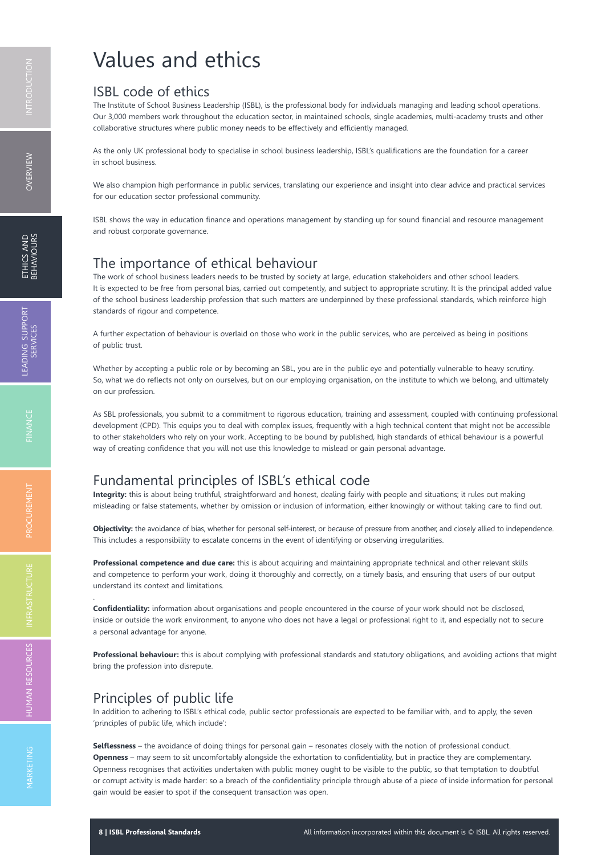# Values and ethics

#### ISBL code of ethics

The Institute of School Business Leadership (ISBL), is the professional body for individuals managing and leading school operations. Our 3,000 members work throughout the education sector, in maintained schools, single academies, multi-academy trusts and other collaborative structures where public money needs to be effectively and efficiently managed.

As the only UK professional body to specialise in school business leadership, ISBL's qualifications are the foundation for a career in school business.

We also champion high performance in public services, translating our experience and insight into clear advice and practical services for our education sector professional community.

ISBL shows the way in education finance and operations management by standing up for sound financial and resource management and robust corporate governance.

### The importance of ethical behaviour

The work of school business leaders needs to be trusted by society at large, education stakeholders and other school leaders. It is expected to be free from personal bias, carried out competently, and subject to appropriate scrutiny. It is the principal added value of the school business leadership profession that such matters are underpinned by these professional standards, which reinforce high standards of rigour and competence.

A further expectation of behaviour is overlaid on those who work in the public services, who are perceived as being in positions of public trust.

Whether by accepting a public role or by becoming an SBL, you are in the public eye and potentially vulnerable to heavy scrutiny. So, what we do reflects not only on ourselves, but on our employing organisation, on the institute to which we belong, and ultimately on our profession.

As SBL professionals, you submit to a commitment to rigorous education, training and assessment, coupled with continuing professional development (CPD). This equips you to deal with complex issues, frequently with a high technical content that might not be accessible to other stakeholders who rely on your work. Accepting to be bound by published, high standards of ethical behaviour is a powerful way of creating confidence that you will not use this knowledge to mislead or gain personal advantage.

### Fundamental principles of ISBL's ethical code

**Integrity:** this is about being truthful, straightforward and honest, dealing fairly with people and situations; it rules out making misleading or false statements, whether by omission or inclusion of information, either knowingly or without taking care to find out.

**Objectivity:** the avoidance of bias, whether for personal self-interest, or because of pressure from another, and closely allied to independence. This includes a responsibility to escalate concerns in the event of identifying or observing irregularities.

**Professional competence and due care:** this is about acquiring and maintaining appropriate technical and other relevant skills and competence to perform your work, doing it thoroughly and correctly, on a timely basis, and ensuring that users of our output understand its context and limitations.

**Confidentiality:** information about organisations and people encountered in the course of your work should not be disclosed, inside or outside the work environment, to anyone who does not have a legal or professional right to it, and especially not to secure a personal advantage for anyone.

**Professional behaviour:** this is about complying with professional standards and statutory obligations, and avoiding actions that might bring the profession into disrepute.

#### Principles of public life

In addition to adhering to ISBL's ethical code, public sector professionals are expected to be familiar with, and to apply, the seven 'principles of public life, which include':

**Selflessness** – the avoidance of doing things for personal gain – resonates closely with the notion of professional conduct. **Openness** – may seem to sit uncomfortably alongside the exhortation to confidentiality, but in practice they are complementary. Openness recognises that activities undertaken with public money ought to be visible to the public, so that temptation to doubtful or corrupt activity is made harder: so a breach of the confidentiality principle through abuse of a piece of inside information for personal gain would be easier to spot if the consequent transaction was open.

OVERVIEW

.

HUM A N

MARKETIN G